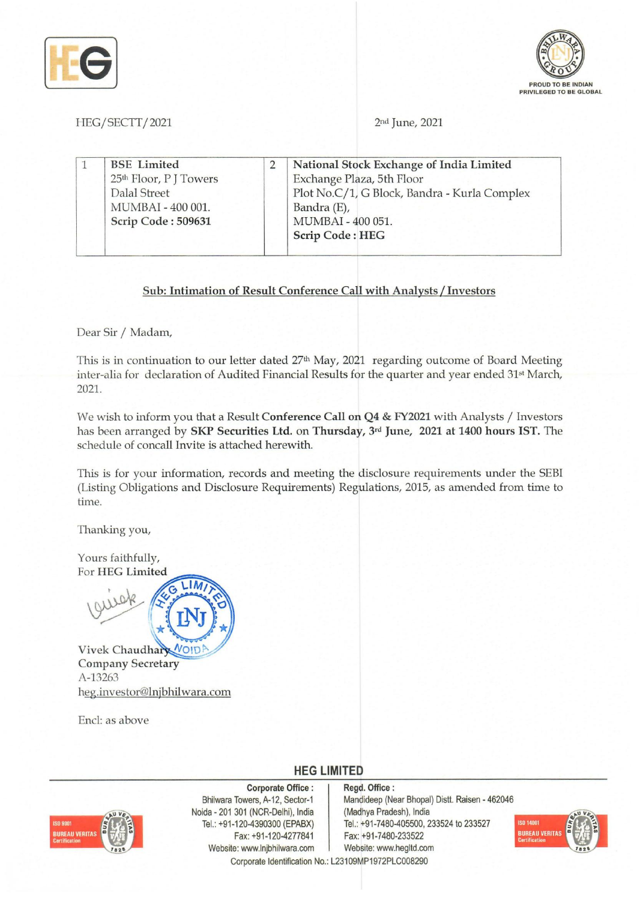



HEG/SECTT/2021 2nd June, 2021

|  | <b>BSE</b> Limited<br>25 <sup>th</sup> Floor, P J Towers<br>Dalal Street<br>MUMBAI - 400 001.<br>Scrip Code: 509631 |  | National Stock Exchange of India Limited<br>Exchange Plaza, 5th Floor<br>Plot No.C/1, G Block, Bandra - Kurla Complex<br>Bandra (E),<br>MUMBAI - 400 051.<br><b>Scrip Code: HEG</b> |
|--|---------------------------------------------------------------------------------------------------------------------|--|-------------------------------------------------------------------------------------------------------------------------------------------------------------------------------------|
|--|---------------------------------------------------------------------------------------------------------------------|--|-------------------------------------------------------------------------------------------------------------------------------------------------------------------------------------|

#### Sub: Intimation of Result Conference Call with Analysts *I* Investors

Dear Sir *I* Madam,

This is in continuation to our letter dated  $27<sup>th</sup>$  May, 2021 regarding outcome of Board Meeting inter-alia for declaration of Audited Financial Results for the quarter and year ended 31st March, 2021.

We wish to inform you that a Result Conference Call on Q4 & FY2021 with Analysts / Investors has been arranged by SKP Securities Ltd. on Thursday, 3rd June, 2021 at 1400 hours IST. The schedule of concall Invite is attached herewith.

This is for your information, records and meeting the disclosure requirements under the SEBI (Listing Obligations and Disclosure Requirements) Regulations, 2015, as amended from time to time.

Thanking you,

Yours faithfully, For HEG Limited



Vivek Chaudhary VOID Company Secretary A-13263 heg.investor@lnjbhilwara.com

End: as above

**HEG LIMITED** 

# **REAU VERITA**

Corporate Office: Bhilwara Towers, A-12, Sector-1 Noida - 201 301 (NCR-Delhi), India Tel.: +91-120-4390300 (EPABX) Fax: +91-120-4277841 Website: www.lnjbhilwara.com | Website: www.hegltd.com Corporate Identification No.: L23109MP1972PLC008290

Regd. Office: Mandideep (Near Bhopal) Distt. Raisen - 462046 (Madhya Pradesh), India Tel.: +91-7480-405500, 233524 to 233527 Fax: +91-7480-233522